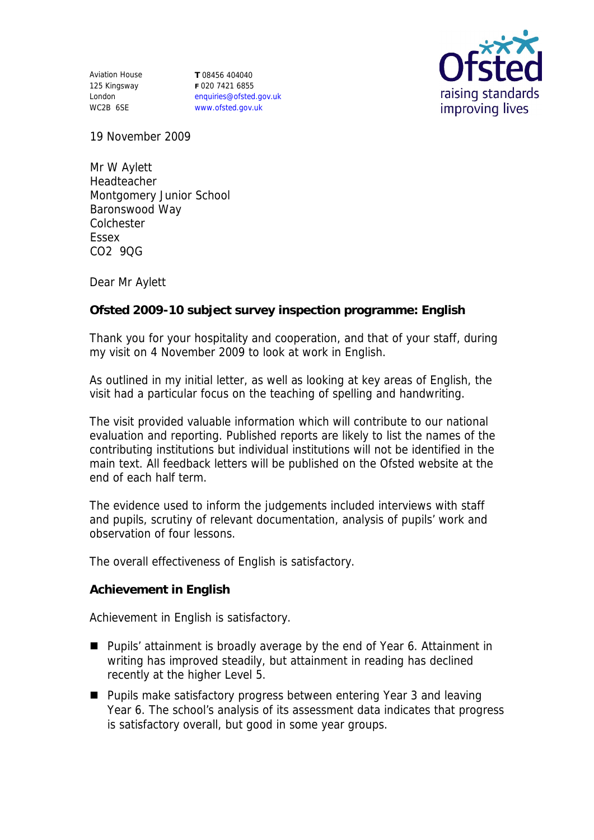Aviation House 125 Kingsway London WC2B 6SE

**T** 08456 404040 **F** 020 7421 6855 enquiries@ofsted.gov.uk www.ofsted.gov.uk



19 November 2009

Mr W Aylett Headteacher Montgomery Junior School Baronswood Way Colchester Essex CO2 9QG

Dear Mr Aylett

**Ofsted 2009-10 subject survey inspection programme: English**

Thank you for your hospitality and cooperation, and that of your staff, during my visit on 4 November 2009 to look at work in English.

As outlined in my initial letter, as well as looking at key areas of English, the visit had a particular focus on the teaching of spelling and handwriting.

The visit provided valuable information which will contribute to our national evaluation and reporting. Published reports are likely to list the names of the contributing institutions but individual institutions will not be identified in the main text. All feedback letters will be published on the Ofsted website at the end of each half term.

The evidence used to inform the judgements included interviews with staff and pupils, scrutiny of relevant documentation, analysis of pupils' work and observation of four lessons.

The overall effectiveness of English is satisfactory.

**Achievement in English**

Achievement in English is satisfactory.

- Pupils' attainment is broadly average by the end of Year 6. Attainment in writing has improved steadily, but attainment in reading has declined recently at the higher Level 5.
- Pupils make satisfactory progress between entering Year 3 and leaving Year 6. The school's analysis of its assessment data indicates that progress is satisfactory overall, but good in some year groups.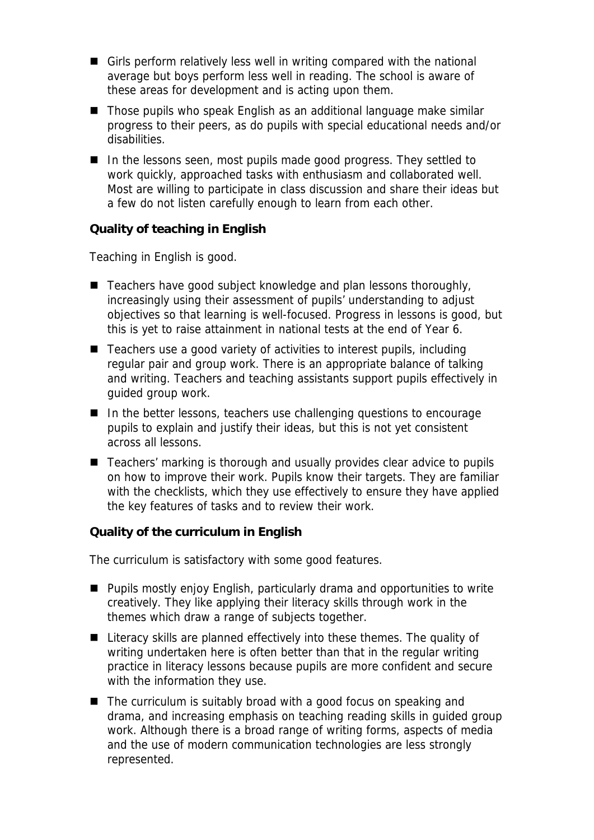- Girls perform relatively less well in writing compared with the national average but boys perform less well in reading. The school is aware of these areas for development and is acting upon them.
- Those pupils who speak English as an additional language make similar progress to their peers, as do pupils with special educational needs and/or disabilities.
- In the lessons seen, most pupils made good progress. They settled to work quickly, approached tasks with enthusiasm and collaborated well. Most are willing to participate in class discussion and share their ideas but a few do not listen carefully enough to learn from each other.

**Quality of teaching in English**

Teaching in English is good.

- Teachers have good subject knowledge and plan lessons thoroughly, increasingly using their assessment of pupils' understanding to adjust objectives so that learning is well-focused. Progress in lessons is good, but this is yet to raise attainment in national tests at the end of Year 6.
- Teachers use a good variety of activities to interest pupils, including regular pair and group work. There is an appropriate balance of talking and writing. Teachers and teaching assistants support pupils effectively in guided group work.
- In the better lessons, teachers use challenging questions to encourage pupils to explain and justify their ideas, but this is not yet consistent across all lessons.
- Teachers' marking is thorough and usually provides clear advice to pupils on how to improve their work. Pupils know their targets. They are familiar with the checklists, which they use effectively to ensure they have applied the key features of tasks and to review their work.

**Quality of the curriculum in English**

The curriculum is satisfactory with some good features.

- Pupils mostly enjoy English, particularly drama and opportunities to write creatively. They like applying their literacy skills through work in the themes which draw a range of subjects together.
- Literacy skills are planned effectively into these themes. The quality of writing undertaken here is often better than that in the regular writing practice in literacy lessons because pupils are more confident and secure with the information they use.
- The curriculum is suitably broad with a good focus on speaking and drama, and increasing emphasis on teaching reading skills in guided group work. Although there is a broad range of writing forms, aspects of media and the use of modern communication technologies are less strongly represented.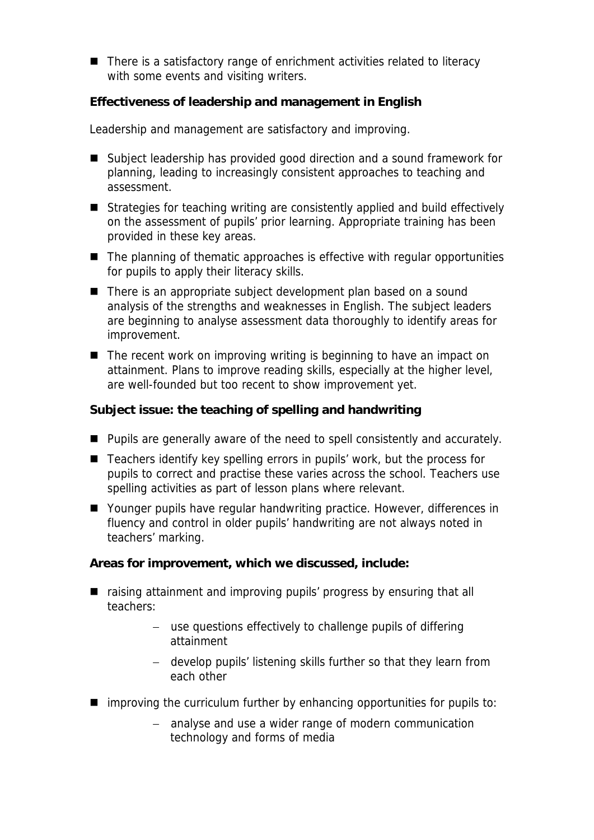■ There is a satisfactory range of enrichment activities related to literacy with some events and visiting writers.

**Effectiveness of leadership and management in English**

Leadership and management are satisfactory and improving.

- Subject leadership has provided good direction and a sound framework for planning, leading to increasingly consistent approaches to teaching and assessment.
- Strategies for teaching writing are consistently applied and build effectively on the assessment of pupils' prior learning. Appropriate training has been provided in these key areas.
- $\blacksquare$  The planning of thematic approaches is effective with regular opportunities for pupils to apply their literacy skills.
- There is an appropriate subject development plan based on a sound analysis of the strengths and weaknesses in English. The subject leaders are beginning to analyse assessment data thoroughly to identify areas for improvement.
- The recent work on improving writing is beginning to have an impact on attainment. Plans to improve reading skills, especially at the higher level, are well-founded but too recent to show improvement yet.

**Subject issue: the teaching of spelling and handwriting**

- **Pupils are generally aware of the need to spell consistently and accurately.**
- Teachers identify key spelling errors in pupils' work, but the process for pupils to correct and practise these varies across the school. Teachers use spelling activities as part of lesson plans where relevant.
- Younger pupils have regular handwriting practice. However, differences in fluency and control in older pupils' handwriting are not always noted in teachers' marking.

**Areas for improvement, which we discussed, include:**

- raising attainment and improving pupils' progress by ensuring that all teachers:
	- use questions effectively to challenge pupils of differing attainment
	- develop pupils' listening skills further so that they learn from each other
- $\blacksquare$  improving the curriculum further by enhancing opportunities for pupils to:
	- analyse and use a wider range of modern communication technology and forms of media